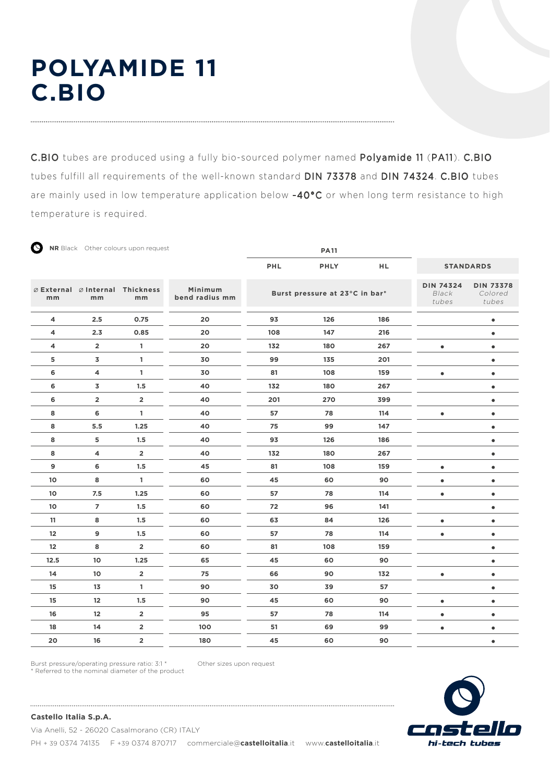# **POLYAMIDE 11 C.BIO**

∽

C.BIO tubes are produced using a fully bio-sourced polymer named Polyamide 11 (PA11). C.BIO tubes fulfill all requirements of the well-known standard DIN 73378 and DIN 74324. C.BIO tubes are mainly used in low temperature application below -40°C or when long term resistance to high temperature is required.

| Õ    |                         | NR Black Other colours upon request   |                           |     | <b>PA11</b>                    |                                    |                                      |           |
|------|-------------------------|---------------------------------------|---------------------------|-----|--------------------------------|------------------------------------|--------------------------------------|-----------|
|      |                         |                                       |                           | PHL | <b>PHLY</b>                    | <b>HL</b>                          | <b>STANDARDS</b>                     |           |
| mm   | mm                      | ⊘ External ⊘ Internal Thickness<br>mm | Minimum<br>bend radius mm |     | Burst pressure at 23°C in bar* | <b>DIN 74324</b><br>Black<br>tubes | <b>DIN 73378</b><br>Colored<br>tubes |           |
| 4    | 2.5                     | 0.75                                  | 20                        | 93  | 126                            | 186                                |                                      | $\bullet$ |
| 4    | 2.3                     | 0.85                                  | 20                        | 108 | 147                            | 216                                |                                      | $\bullet$ |
| 4    | $\overline{2}$          | 1                                     | 20                        | 132 | 180                            | 267                                | $\bullet$                            | $\bullet$ |
| 5    | 3                       | 1                                     | 30                        | 99  | 135                            | 201                                |                                      | $\bullet$ |
| 6    | 4                       | 1                                     | 30                        | 81  | 108                            | 159                                | $\bullet$                            | $\bullet$ |
| 6    | 3                       | 1.5                                   | 40                        | 132 | 180                            | 267                                |                                      | $\bullet$ |
| 6    | $\overline{\mathbf{2}}$ | $\overline{\mathbf{2}}$               | 40                        | 201 | 270                            | 399                                |                                      | $\bullet$ |
| 8    | 6                       | $\mathbf{1}$                          | 40                        | 57  | 78                             | 114                                | $\bullet$                            | $\bullet$ |
| 8    | 5.5                     | 1.25                                  | 40                        | 75  | 99                             | 147                                |                                      | $\bullet$ |
| 8    | 5                       | 1.5                                   | 40                        | 93  | 126                            | 186                                |                                      | $\bullet$ |
| 8    | 4                       | $\overline{\mathbf{2}}$               | 40                        | 132 | 180                            | 267                                |                                      | $\bullet$ |
| 9    | 6                       | 1.5                                   | 45                        | 81  | 108                            | 159                                | $\bullet$                            | $\bullet$ |
| 10   | 8                       | 1                                     | 60                        | 45  | 60                             | 90                                 | $\bullet$                            | $\bullet$ |
| 10   | 7.5                     | 1.25                                  | 60                        | 57  | 78                             | 114                                | $\bullet$                            | $\bullet$ |
| 10   | $\overline{7}$          | 1.5                                   | 60                        | 72  | 96                             | 141                                |                                      | $\bullet$ |
| 11   | 8                       | 1.5                                   | 60                        | 63  | 84                             | 126                                | $\bullet$                            | $\bullet$ |
| 12   | 9                       | 1.5                                   | 60                        | 57  | 78                             | 114                                | $\bullet$                            | $\bullet$ |
| 12   | 8                       | $\overline{\mathbf{2}}$               | 60                        | 81  | 108                            | 159                                |                                      | $\bullet$ |
| 12.5 | 10                      | 1.25                                  | 65                        | 45  | 60                             | 90                                 |                                      | $\bullet$ |
| 14   | 10                      | $\overline{2}$                        | 75                        | 66  | 90                             | 132                                | $\bullet$                            | $\bullet$ |
| 15   | 13                      | $\mathbf{1}$                          | 90                        | 30  | 39                             | 57                                 |                                      | $\bullet$ |
| 15   | 12                      | 1.5                                   | 90                        | 45  | 60                             | 90                                 | $\bullet$                            | $\bullet$ |
| 16   | 12                      | $\overline{2}$                        | 95                        | 57  | 78                             | 114                                | $\bullet$                            | $\bullet$ |
| 18   | 14                      | $\overline{\mathbf{2}}$               | 100                       | 51  | 69                             | 99                                 | $\bullet$                            | $\bullet$ |
| 20   | 16                      | $\overline{\mathbf{2}}$               | 180                       | 45  | 60                             | 90                                 |                                      | $\bullet$ |

Burst pressure/operating pressure ratio: 3:1 \* \* Referred to the nominal diameter of the product Other sizes upon request



**Castello Italia S.p.A.**

Via Anelli, 52 - 26020 Casalmorano (CR) ITALY PH + 39 0374 74135 F +39 0374 870717 commerciale@castelloitalia.it www.castelloitalia.it